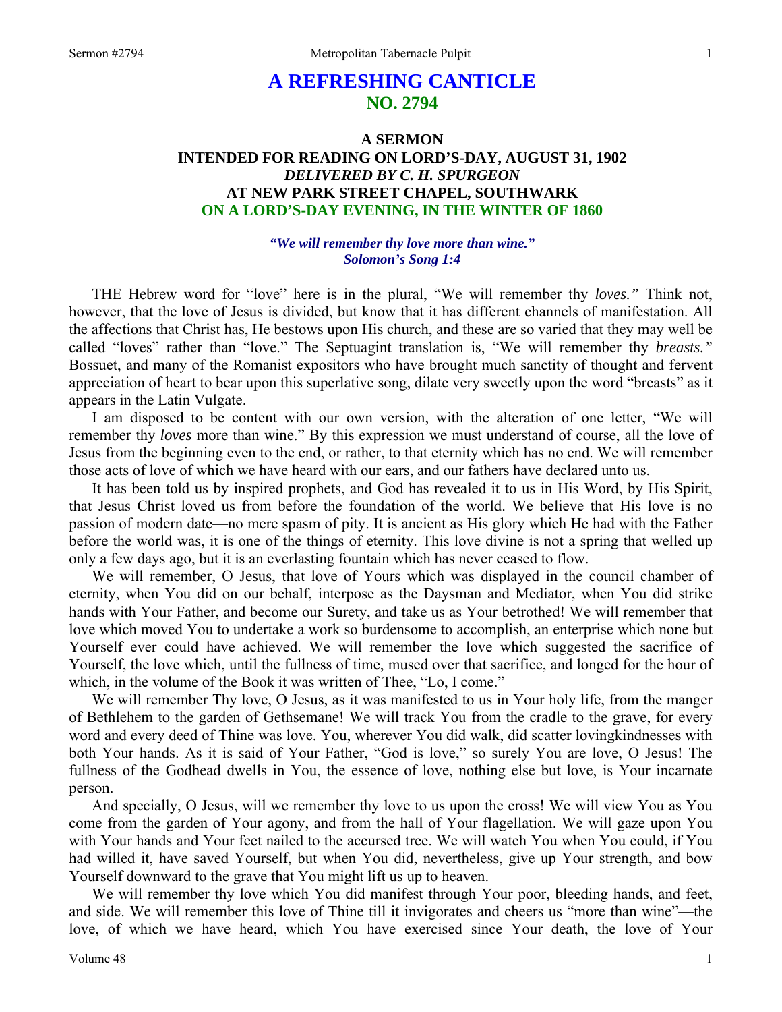# **A REFRESHING CANTICLE NO. 2794**

## **A SERMON INTENDED FOR READING ON LORD'S-DAY, AUGUST 31, 1902**  *DELIVERED BY C. H. SPURGEON*  **AT NEW PARK STREET CHAPEL, SOUTHWARK ON A LORD'S-DAY EVENING, IN THE WINTER OF 1860**

#### *"We will remember thy love more than wine." Solomon's Song 1:4*

THE Hebrew word for "love" here is in the plural, "We will remember thy *loves."* Think not, however, that the love of Jesus is divided, but know that it has different channels of manifestation. All the affections that Christ has, He bestows upon His church, and these are so varied that they may well be called "loves" rather than "love." The Septuagint translation is, "We will remember thy *breasts."* Bossuet, and many of the Romanist expositors who have brought much sanctity of thought and fervent appreciation of heart to bear upon this superlative song, dilate very sweetly upon the word "breasts" as it appears in the Latin Vulgate.

I am disposed to be content with our own version, with the alteration of one letter, "We will remember thy *loves* more than wine." By this expression we must understand of course, all the love of Jesus from the beginning even to the end, or rather, to that eternity which has no end. We will remember those acts of love of which we have heard with our ears, and our fathers have declared unto us.

It has been told us by inspired prophets, and God has revealed it to us in His Word, by His Spirit, that Jesus Christ loved us from before the foundation of the world. We believe that His love is no passion of modern date—no mere spasm of pity. It is ancient as His glory which He had with the Father before the world was, it is one of the things of eternity. This love divine is not a spring that welled up only a few days ago, but it is an everlasting fountain which has never ceased to flow.

We will remember, O Jesus, that love of Yours which was displayed in the council chamber of eternity, when You did on our behalf, interpose as the Daysman and Mediator, when You did strike hands with Your Father, and become our Surety, and take us as Your betrothed! We will remember that love which moved You to undertake a work so burdensome to accomplish, an enterprise which none but Yourself ever could have achieved. We will remember the love which suggested the sacrifice of Yourself, the love which, until the fullness of time, mused over that sacrifice, and longed for the hour of which, in the volume of the Book it was written of Thee, "Lo, I come."

We will remember Thy love, O Jesus, as it was manifested to us in Your holy life, from the manger of Bethlehem to the garden of Gethsemane! We will track You from the cradle to the grave, for every word and every deed of Thine was love. You, wherever You did walk, did scatter lovingkindnesses with both Your hands. As it is said of Your Father, "God is love," so surely You are love, O Jesus! The fullness of the Godhead dwells in You, the essence of love, nothing else but love, is Your incarnate person.

And specially, O Jesus, will we remember thy love to us upon the cross! We will view You as You come from the garden of Your agony, and from the hall of Your flagellation. We will gaze upon You with Your hands and Your feet nailed to the accursed tree. We will watch You when You could, if You had willed it, have saved Yourself, but when You did, nevertheless, give up Your strength, and bow Yourself downward to the grave that You might lift us up to heaven.

We will remember thy love which You did manifest through Your poor, bleeding hands, and feet, and side. We will remember this love of Thine till it invigorates and cheers us "more than wine"—the love, of which we have heard, which You have exercised since Your death, the love of Your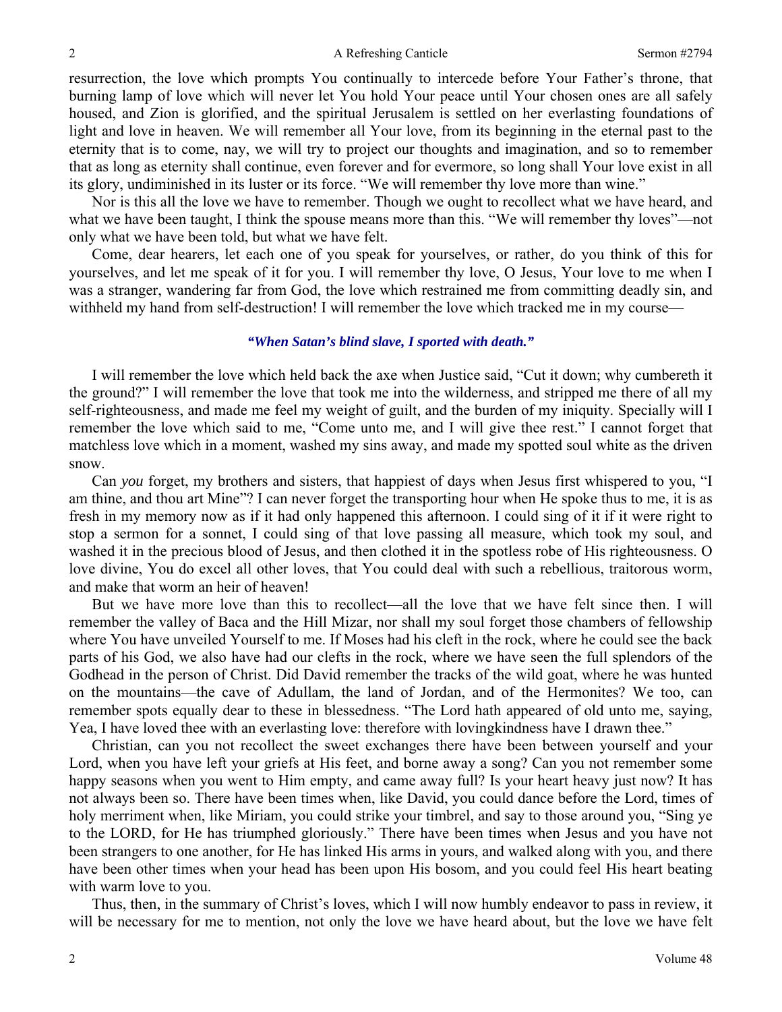resurrection, the love which prompts You continually to intercede before Your Father's throne, that burning lamp of love which will never let You hold Your peace until Your chosen ones are all safely housed, and Zion is glorified, and the spiritual Jerusalem is settled on her everlasting foundations of light and love in heaven. We will remember all Your love, from its beginning in the eternal past to the eternity that is to come, nay, we will try to project our thoughts and imagination, and so to remember that as long as eternity shall continue, even forever and for evermore, so long shall Your love exist in all its glory, undiminished in its luster or its force. "We will remember thy love more than wine."

Nor is this all the love we have to remember. Though we ought to recollect what we have heard, and what we have been taught, I think the spouse means more than this. "We will remember thy loves"—not only what we have been told, but what we have felt.

Come, dear hearers, let each one of you speak for yourselves, or rather, do you think of this for yourselves, and let me speak of it for you. I will remember thy love, O Jesus, Your love to me when I was a stranger, wandering far from God, the love which restrained me from committing deadly sin, and withheld my hand from self-destruction! I will remember the love which tracked me in my course—

#### *"When Satan's blind slave, I sported with death."*

I will remember the love which held back the axe when Justice said, "Cut it down; why cumbereth it the ground?" I will remember the love that took me into the wilderness, and stripped me there of all my self-righteousness, and made me feel my weight of guilt, and the burden of my iniquity. Specially will I remember the love which said to me, "Come unto me, and I will give thee rest." I cannot forget that matchless love which in a moment, washed my sins away, and made my spotted soul white as the driven snow.

Can *you* forget, my brothers and sisters, that happiest of days when Jesus first whispered to you, "I am thine, and thou art Mine"? I can never forget the transporting hour when He spoke thus to me, it is as fresh in my memory now as if it had only happened this afternoon. I could sing of it if it were right to stop a sermon for a sonnet, I could sing of that love passing all measure, which took my soul, and washed it in the precious blood of Jesus, and then clothed it in the spotless robe of His righteousness. O love divine, You do excel all other loves, that You could deal with such a rebellious, traitorous worm, and make that worm an heir of heaven!

But we have more love than this to recollect—all the love that we have felt since then. I will remember the valley of Baca and the Hill Mizar, nor shall my soul forget those chambers of fellowship where You have unveiled Yourself to me. If Moses had his cleft in the rock, where he could see the back parts of his God, we also have had our clefts in the rock, where we have seen the full splendors of the Godhead in the person of Christ. Did David remember the tracks of the wild goat, where he was hunted on the mountains—the cave of Adullam, the land of Jordan, and of the Hermonites? We too, can remember spots equally dear to these in blessedness. "The Lord hath appeared of old unto me, saying, Yea, I have loved thee with an everlasting love: therefore with lovingkindness have I drawn thee."

Christian, can you not recollect the sweet exchanges there have been between yourself and your Lord, when you have left your griefs at His feet, and borne away a song? Can you not remember some happy seasons when you went to Him empty, and came away full? Is your heart heavy just now? It has not always been so. There have been times when, like David, you could dance before the Lord, times of holy merriment when, like Miriam, you could strike your timbrel, and say to those around you, "Sing ye to the LORD, for He has triumphed gloriously." There have been times when Jesus and you have not been strangers to one another, for He has linked His arms in yours, and walked along with you, and there have been other times when your head has been upon His bosom, and you could feel His heart beating with warm love to you.

Thus, then, in the summary of Christ's loves, which I will now humbly endeavor to pass in review, it will be necessary for me to mention, not only the love we have heard about, but the love we have felt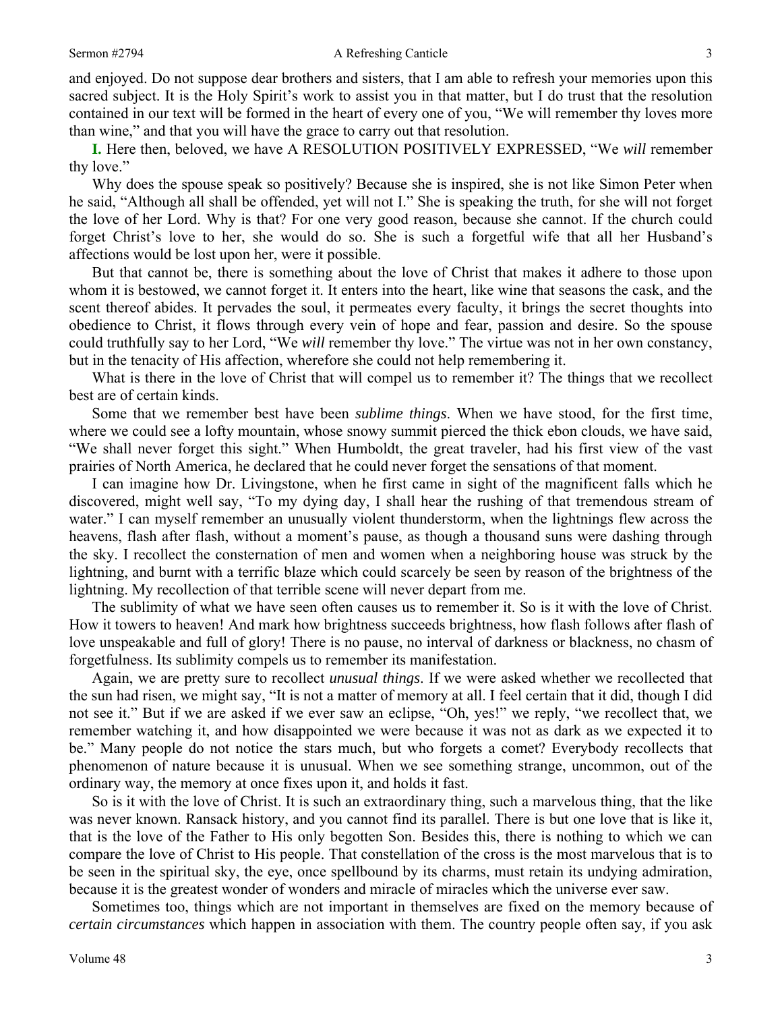#### Sermon #2794 **A Refreshing Canticle** 3

and enjoyed. Do not suppose dear brothers and sisters, that I am able to refresh your memories upon this sacred subject. It is the Holy Spirit's work to assist you in that matter, but I do trust that the resolution contained in our text will be formed in the heart of every one of you, "We will remember thy loves more than wine," and that you will have the grace to carry out that resolution.

**I.** Here then, beloved, we have A RESOLUTION POSITIVELY EXPRESSED, "We *will* remember thy love."

Why does the spouse speak so positively? Because she is inspired, she is not like Simon Peter when he said, "Although all shall be offended, yet will not I." She is speaking the truth, for she will not forget the love of her Lord. Why is that? For one very good reason, because she cannot. If the church could forget Christ's love to her, she would do so. She is such a forgetful wife that all her Husband's affections would be lost upon her, were it possible.

But that cannot be, there is something about the love of Christ that makes it adhere to those upon whom it is bestowed, we cannot forget it. It enters into the heart, like wine that seasons the cask, and the scent thereof abides. It pervades the soul, it permeates every faculty, it brings the secret thoughts into obedience to Christ, it flows through every vein of hope and fear, passion and desire. So the spouse could truthfully say to her Lord, "We *will* remember thy love." The virtue was not in her own constancy, but in the tenacity of His affection, wherefore she could not help remembering it.

What is there in the love of Christ that will compel us to remember it? The things that we recollect best are of certain kinds.

Some that we remember best have been *sublime things*. When we have stood, for the first time, where we could see a lofty mountain, whose snowy summit pierced the thick ebon clouds, we have said, "We shall never forget this sight." When Humboldt, the great traveler, had his first view of the vast prairies of North America, he declared that he could never forget the sensations of that moment.

I can imagine how Dr. Livingstone, when he first came in sight of the magnificent falls which he discovered, might well say, "To my dying day, I shall hear the rushing of that tremendous stream of water." I can myself remember an unusually violent thunderstorm, when the lightnings flew across the heavens, flash after flash, without a moment's pause, as though a thousand suns were dashing through the sky. I recollect the consternation of men and women when a neighboring house was struck by the lightning, and burnt with a terrific blaze which could scarcely be seen by reason of the brightness of the lightning. My recollection of that terrible scene will never depart from me.

The sublimity of what we have seen often causes us to remember it. So is it with the love of Christ. How it towers to heaven! And mark how brightness succeeds brightness, how flash follows after flash of love unspeakable and full of glory! There is no pause, no interval of darkness or blackness, no chasm of forgetfulness. Its sublimity compels us to remember its manifestation.

Again, we are pretty sure to recollect *unusual things*. If we were asked whether we recollected that the sun had risen, we might say, "It is not a matter of memory at all. I feel certain that it did, though I did not see it." But if we are asked if we ever saw an eclipse, "Oh, yes!" we reply, "we recollect that, we remember watching it, and how disappointed we were because it was not as dark as we expected it to be." Many people do not notice the stars much, but who forgets a comet? Everybody recollects that phenomenon of nature because it is unusual. When we see something strange, uncommon, out of the ordinary way, the memory at once fixes upon it, and holds it fast.

So is it with the love of Christ. It is such an extraordinary thing, such a marvelous thing, that the like was never known. Ransack history, and you cannot find its parallel. There is but one love that is like it, that is the love of the Father to His only begotten Son. Besides this, there is nothing to which we can compare the love of Christ to His people. That constellation of the cross is the most marvelous that is to be seen in the spiritual sky, the eye, once spellbound by its charms, must retain its undying admiration, because it is the greatest wonder of wonders and miracle of miracles which the universe ever saw.

Sometimes too, things which are not important in themselves are fixed on the memory because of *certain circumstances* which happen in association with them. The country people often say, if you ask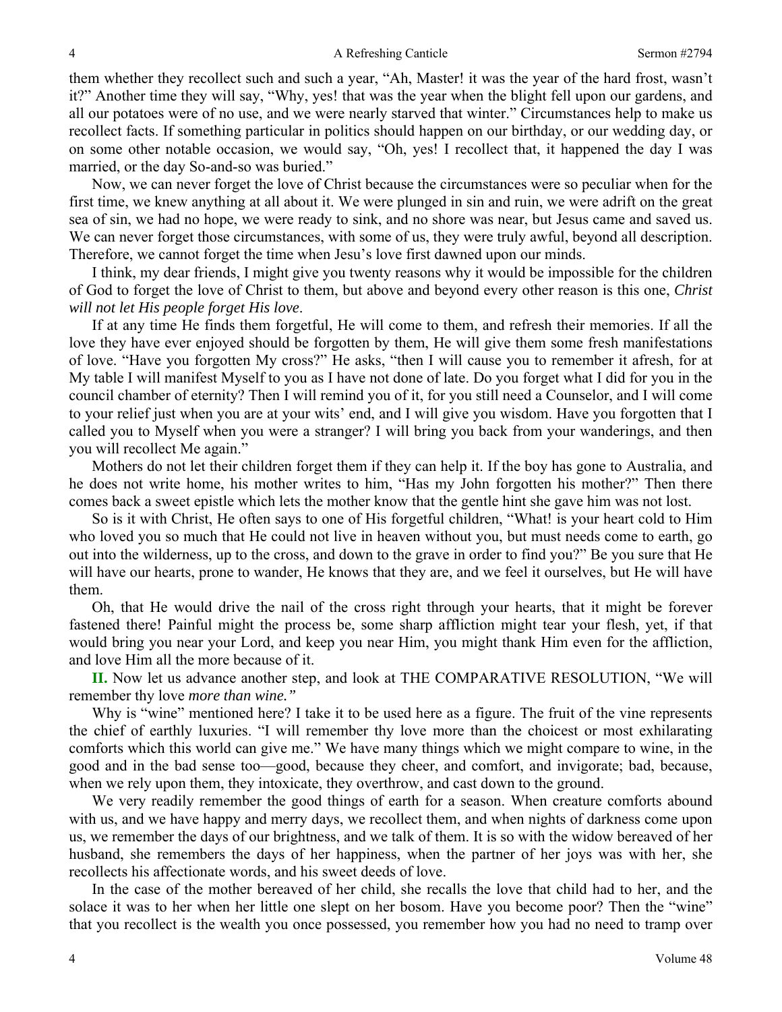them whether they recollect such and such a year, "Ah, Master! it was the year of the hard frost, wasn't it?" Another time they will say, "Why, yes! that was the year when the blight fell upon our gardens, and all our potatoes were of no use, and we were nearly starved that winter." Circumstances help to make us recollect facts. If something particular in politics should happen on our birthday, or our wedding day, or on some other notable occasion, we would say, "Oh, yes! I recollect that, it happened the day I was married, or the day So-and-so was buried."

Now, we can never forget the love of Christ because the circumstances were so peculiar when for the first time, we knew anything at all about it. We were plunged in sin and ruin, we were adrift on the great sea of sin, we had no hope, we were ready to sink, and no shore was near, but Jesus came and saved us. We can never forget those circumstances, with some of us, they were truly awful, beyond all description. Therefore, we cannot forget the time when Jesu's love first dawned upon our minds.

I think, my dear friends, I might give you twenty reasons why it would be impossible for the children of God to forget the love of Christ to them, but above and beyond every other reason is this one, *Christ will not let His people forget His love*.

If at any time He finds them forgetful, He will come to them, and refresh their memories. If all the love they have ever enjoyed should be forgotten by them, He will give them some fresh manifestations of love. "Have you forgotten My cross?" He asks, "then I will cause you to remember it afresh, for at My table I will manifest Myself to you as I have not done of late. Do you forget what I did for you in the council chamber of eternity? Then I will remind you of it, for you still need a Counselor, and I will come to your relief just when you are at your wits' end, and I will give you wisdom. Have you forgotten that I called you to Myself when you were a stranger? I will bring you back from your wanderings, and then you will recollect Me again."

Mothers do not let their children forget them if they can help it. If the boy has gone to Australia, and he does not write home, his mother writes to him, "Has my John forgotten his mother?" Then there comes back a sweet epistle which lets the mother know that the gentle hint she gave him was not lost.

So is it with Christ, He often says to one of His forgetful children, "What! is your heart cold to Him who loved you so much that He could not live in heaven without you, but must needs come to earth, go out into the wilderness, up to the cross, and down to the grave in order to find you?" Be you sure that He will have our hearts, prone to wander, He knows that they are, and we feel it ourselves, but He will have them.

Oh, that He would drive the nail of the cross right through your hearts, that it might be forever fastened there! Painful might the process be, some sharp affliction might tear your flesh, yet, if that would bring you near your Lord, and keep you near Him, you might thank Him even for the affliction, and love Him all the more because of it.

**II.** Now let us advance another step, and look at THE COMPARATIVE RESOLUTION, "We will remember thy love *more than wine."*

Why is "wine" mentioned here? I take it to be used here as a figure. The fruit of the vine represents the chief of earthly luxuries. "I will remember thy love more than the choicest or most exhilarating comforts which this world can give me." We have many things which we might compare to wine, in the good and in the bad sense too—good, because they cheer, and comfort, and invigorate; bad, because, when we rely upon them, they intoxicate, they overthrow, and cast down to the ground.

We very readily remember the good things of earth for a season. When creature comforts abound with us, and we have happy and merry days, we recollect them, and when nights of darkness come upon us, we remember the days of our brightness, and we talk of them. It is so with the widow bereaved of her husband, she remembers the days of her happiness, when the partner of her joys was with her, she recollects his affectionate words, and his sweet deeds of love.

In the case of the mother bereaved of her child, she recalls the love that child had to her, and the solace it was to her when her little one slept on her bosom. Have you become poor? Then the "wine" that you recollect is the wealth you once possessed, you remember how you had no need to tramp over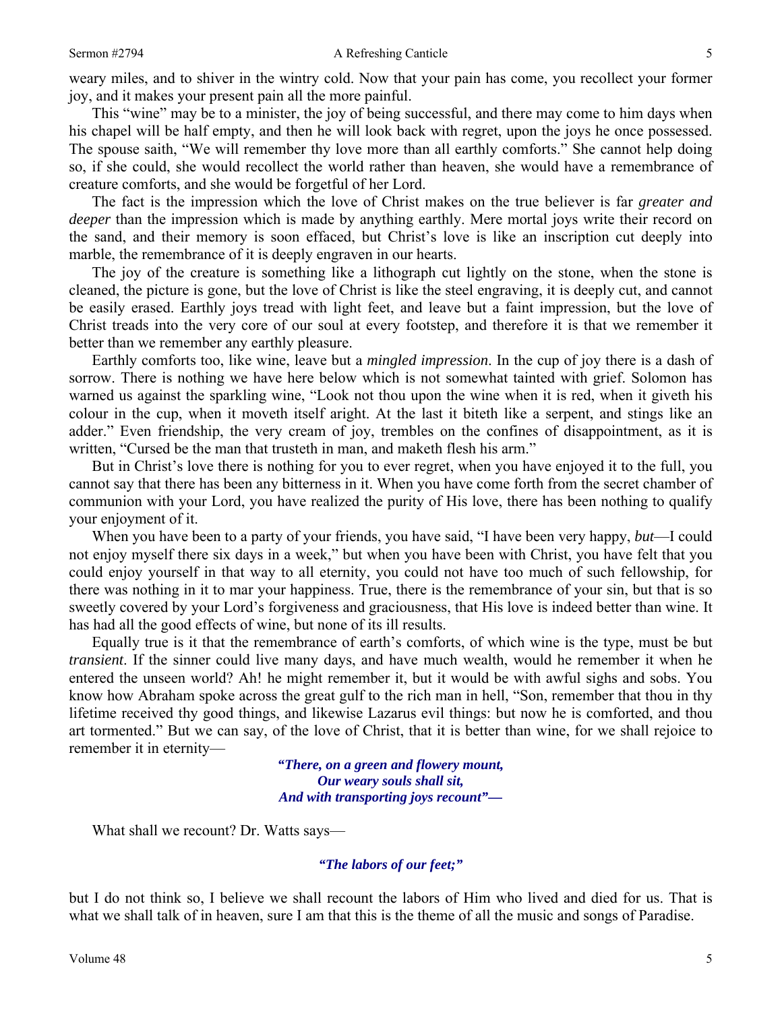weary miles, and to shiver in the wintry cold. Now that your pain has come, you recollect your former joy, and it makes your present pain all the more painful.

This "wine" may be to a minister, the joy of being successful, and there may come to him days when his chapel will be half empty, and then he will look back with regret, upon the joys he once possessed. The spouse saith, "We will remember thy love more than all earthly comforts." She cannot help doing so, if she could, she would recollect the world rather than heaven, she would have a remembrance of creature comforts, and she would be forgetful of her Lord.

The fact is the impression which the love of Christ makes on the true believer is far *greater and deeper* than the impression which is made by anything earthly. Mere mortal joys write their record on the sand, and their memory is soon effaced, but Christ's love is like an inscription cut deeply into marble, the remembrance of it is deeply engraven in our hearts.

The joy of the creature is something like a lithograph cut lightly on the stone, when the stone is cleaned, the picture is gone, but the love of Christ is like the steel engraving, it is deeply cut, and cannot be easily erased. Earthly joys tread with light feet, and leave but a faint impression, but the love of Christ treads into the very core of our soul at every footstep, and therefore it is that we remember it better than we remember any earthly pleasure.

Earthly comforts too, like wine, leave but a *mingled impression*. In the cup of joy there is a dash of sorrow. There is nothing we have here below which is not somewhat tainted with grief. Solomon has warned us against the sparkling wine, "Look not thou upon the wine when it is red, when it giveth his colour in the cup, when it moveth itself aright. At the last it biteth like a serpent, and stings like an adder." Even friendship, the very cream of joy, trembles on the confines of disappointment, as it is written, "Cursed be the man that trusteth in man, and maketh flesh his arm."

But in Christ's love there is nothing for you to ever regret, when you have enjoyed it to the full, you cannot say that there has been any bitterness in it. When you have come forth from the secret chamber of communion with your Lord, you have realized the purity of His love, there has been nothing to qualify your enjoyment of it.

When you have been to a party of your friends, you have said, "I have been very happy, *but*—I could not enjoy myself there six days in a week," but when you have been with Christ, you have felt that you could enjoy yourself in that way to all eternity, you could not have too much of such fellowship, for there was nothing in it to mar your happiness. True, there is the remembrance of your sin, but that is so sweetly covered by your Lord's forgiveness and graciousness, that His love is indeed better than wine. It has had all the good effects of wine, but none of its ill results.

Equally true is it that the remembrance of earth's comforts, of which wine is the type, must be but *transient*. If the sinner could live many days, and have much wealth, would he remember it when he entered the unseen world? Ah! he might remember it, but it would be with awful sighs and sobs. You know how Abraham spoke across the great gulf to the rich man in hell, "Son, remember that thou in thy lifetime received thy good things, and likewise Lazarus evil things: but now he is comforted, and thou art tormented." But we can say, of the love of Christ, that it is better than wine, for we shall rejoice to remember it in eternity—

> *"There, on a green and flowery mount, Our weary souls shall sit, And with transporting joys recount"—*

What shall we recount? Dr. Watts says—

### *"The labors of our feet;"*

but I do not think so, I believe we shall recount the labors of Him who lived and died for us. That is what we shall talk of in heaven, sure I am that this is the theme of all the music and songs of Paradise.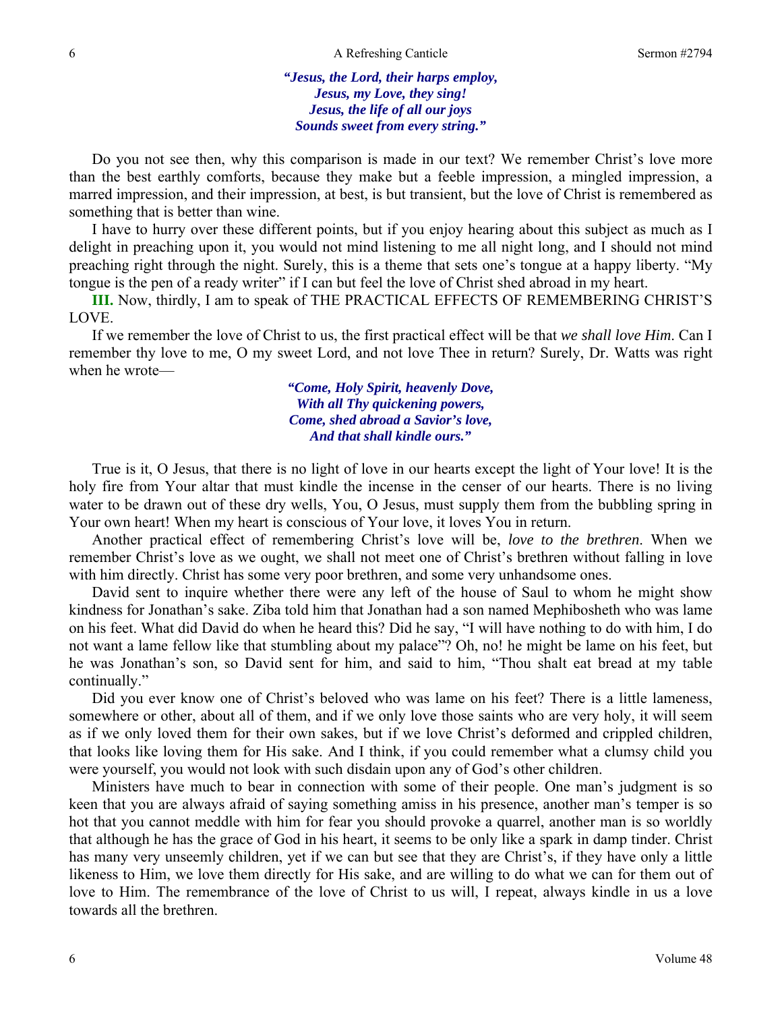*"Jesus, the Lord, their harps employ, Jesus, my Love, they sing! Jesus, the life of all our joys Sounds sweet from every string."* 

Do you not see then, why this comparison is made in our text? We remember Christ's love more than the best earthly comforts, because they make but a feeble impression, a mingled impression, a marred impression, and their impression, at best, is but transient, but the love of Christ is remembered as something that is better than wine.

I have to hurry over these different points, but if you enjoy hearing about this subject as much as I delight in preaching upon it, you would not mind listening to me all night long, and I should not mind preaching right through the night. Surely, this is a theme that sets one's tongue at a happy liberty. "My tongue is the pen of a ready writer" if I can but feel the love of Christ shed abroad in my heart.

**III.** Now, thirdly, I am to speak of THE PRACTICAL EFFECTS OF REMEMBERING CHRIST'S LOVE.

If we remember the love of Christ to us, the first practical effect will be that *we shall love Him*. Can I remember thy love to me, O my sweet Lord, and not love Thee in return? Surely, Dr. Watts was right when he wrote—

> *"Come, Holy Spirit, heavenly Dove, With all Thy quickening powers, Come, shed abroad a Savior's love, And that shall kindle ours."*

True is it, O Jesus, that there is no light of love in our hearts except the light of Your love! It is the holy fire from Your altar that must kindle the incense in the censer of our hearts. There is no living water to be drawn out of these dry wells, You, O Jesus, must supply them from the bubbling spring in Your own heart! When my heart is conscious of Your love, it loves You in return.

Another practical effect of remembering Christ's love will be, *love to the brethren*. When we remember Christ's love as we ought, we shall not meet one of Christ's brethren without falling in love with him directly. Christ has some very poor brethren, and some very unhandsome ones.

David sent to inquire whether there were any left of the house of Saul to whom he might show kindness for Jonathan's sake. Ziba told him that Jonathan had a son named Mephibosheth who was lame on his feet. What did David do when he heard this? Did he say, "I will have nothing to do with him, I do not want a lame fellow like that stumbling about my palace"? Oh, no! he might be lame on his feet, but he was Jonathan's son, so David sent for him, and said to him, "Thou shalt eat bread at my table continually."

Did you ever know one of Christ's beloved who was lame on his feet? There is a little lameness, somewhere or other, about all of them, and if we only love those saints who are very holy, it will seem as if we only loved them for their own sakes, but if we love Christ's deformed and crippled children, that looks like loving them for His sake. And I think, if you could remember what a clumsy child you were yourself, you would not look with such disdain upon any of God's other children.

Ministers have much to bear in connection with some of their people. One man's judgment is so keen that you are always afraid of saying something amiss in his presence, another man's temper is so hot that you cannot meddle with him for fear you should provoke a quarrel, another man is so worldly that although he has the grace of God in his heart, it seems to be only like a spark in damp tinder. Christ has many very unseemly children, yet if we can but see that they are Christ's, if they have only a little likeness to Him, we love them directly for His sake, and are willing to do what we can for them out of love to Him. The remembrance of the love of Christ to us will, I repeat, always kindle in us a love towards all the brethren.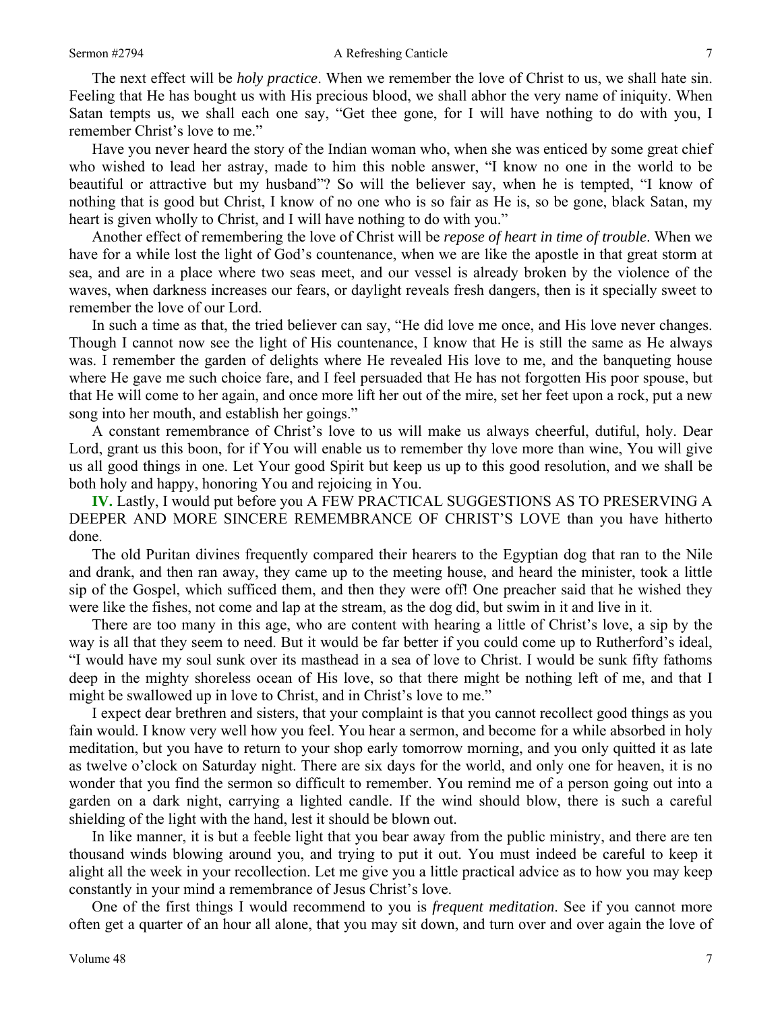The next effect will be *holy practice*. When we remember the love of Christ to us, we shall hate sin. Feeling that He has bought us with His precious blood, we shall abhor the very name of iniquity. When Satan tempts us, we shall each one say, "Get thee gone, for I will have nothing to do with you, I remember Christ's love to me."

Have you never heard the story of the Indian woman who, when she was enticed by some great chief who wished to lead her astray, made to him this noble answer, "I know no one in the world to be beautiful or attractive but my husband"? So will the believer say, when he is tempted, "I know of nothing that is good but Christ, I know of no one who is so fair as He is, so be gone, black Satan, my heart is given wholly to Christ, and I will have nothing to do with you."

Another effect of remembering the love of Christ will be *repose of heart in time of trouble*. When we have for a while lost the light of God's countenance, when we are like the apostle in that great storm at sea, and are in a place where two seas meet, and our vessel is already broken by the violence of the waves, when darkness increases our fears, or daylight reveals fresh dangers, then is it specially sweet to remember the love of our Lord.

In such a time as that, the tried believer can say, "He did love me once, and His love never changes. Though I cannot now see the light of His countenance, I know that He is still the same as He always was. I remember the garden of delights where He revealed His love to me, and the banqueting house where He gave me such choice fare, and I feel persuaded that He has not forgotten His poor spouse, but that He will come to her again, and once more lift her out of the mire, set her feet upon a rock, put a new song into her mouth, and establish her goings."

A constant remembrance of Christ's love to us will make us always cheerful, dutiful, holy. Dear Lord, grant us this boon, for if You will enable us to remember thy love more than wine, You will give us all good things in one. Let Your good Spirit but keep us up to this good resolution, and we shall be both holy and happy, honoring You and rejoicing in You.

**IV.** Lastly, I would put before you A FEW PRACTICAL SUGGESTIONS AS TO PRESERVING A DEEPER AND MORE SINCERE REMEMBRANCE OF CHRIST'S LOVE than you have hitherto done.

The old Puritan divines frequently compared their hearers to the Egyptian dog that ran to the Nile and drank, and then ran away, they came up to the meeting house, and heard the minister, took a little sip of the Gospel, which sufficed them, and then they were off! One preacher said that he wished they were like the fishes, not come and lap at the stream, as the dog did, but swim in it and live in it.

There are too many in this age, who are content with hearing a little of Christ's love, a sip by the way is all that they seem to need. But it would be far better if you could come up to Rutherford's ideal, "I would have my soul sunk over its masthead in a sea of love to Christ. I would be sunk fifty fathoms deep in the mighty shoreless ocean of His love, so that there might be nothing left of me, and that I might be swallowed up in love to Christ, and in Christ's love to me."

I expect dear brethren and sisters, that your complaint is that you cannot recollect good things as you fain would. I know very well how you feel. You hear a sermon, and become for a while absorbed in holy meditation, but you have to return to your shop early tomorrow morning, and you only quitted it as late as twelve o'clock on Saturday night. There are six days for the world, and only one for heaven, it is no wonder that you find the sermon so difficult to remember. You remind me of a person going out into a garden on a dark night, carrying a lighted candle. If the wind should blow, there is such a careful shielding of the light with the hand, lest it should be blown out.

In like manner, it is but a feeble light that you bear away from the public ministry, and there are ten thousand winds blowing around you, and trying to put it out. You must indeed be careful to keep it alight all the week in your recollection. Let me give you a little practical advice as to how you may keep constantly in your mind a remembrance of Jesus Christ's love.

One of the first things I would recommend to you is *frequent meditation*. See if you cannot more often get a quarter of an hour all alone, that you may sit down, and turn over and over again the love of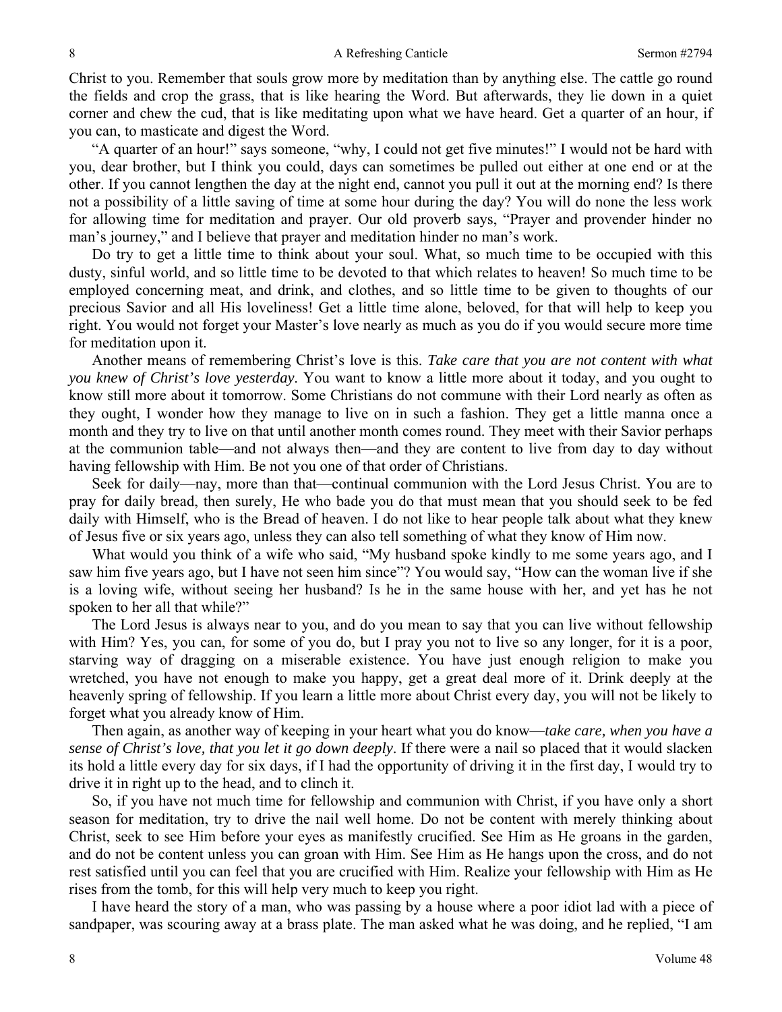Christ to you. Remember that souls grow more by meditation than by anything else. The cattle go round the fields and crop the grass, that is like hearing the Word. But afterwards, they lie down in a quiet corner and chew the cud, that is like meditating upon what we have heard. Get a quarter of an hour, if you can, to masticate and digest the Word.

"A quarter of an hour!" says someone, "why, I could not get five minutes!" I would not be hard with you, dear brother, but I think you could, days can sometimes be pulled out either at one end or at the other. If you cannot lengthen the day at the night end, cannot you pull it out at the morning end? Is there not a possibility of a little saving of time at some hour during the day? You will do none the less work for allowing time for meditation and prayer. Our old proverb says, "Prayer and provender hinder no man's journey," and I believe that prayer and meditation hinder no man's work.

Do try to get a little time to think about your soul. What, so much time to be occupied with this dusty, sinful world, and so little time to be devoted to that which relates to heaven! So much time to be employed concerning meat, and drink, and clothes, and so little time to be given to thoughts of our precious Savior and all His loveliness! Get a little time alone, beloved, for that will help to keep you right. You would not forget your Master's love nearly as much as you do if you would secure more time for meditation upon it.

Another means of remembering Christ's love is this. *Take care that you are not content with what you knew of Christ's love yesterday*. You want to know a little more about it today, and you ought to know still more about it tomorrow. Some Christians do not commune with their Lord nearly as often as they ought, I wonder how they manage to live on in such a fashion. They get a little manna once a month and they try to live on that until another month comes round. They meet with their Savior perhaps at the communion table—and not always then—and they are content to live from day to day without having fellowship with Him. Be not you one of that order of Christians.

Seek for daily—nay, more than that—continual communion with the Lord Jesus Christ. You are to pray for daily bread, then surely, He who bade you do that must mean that you should seek to be fed daily with Himself, who is the Bread of heaven. I do not like to hear people talk about what they knew of Jesus five or six years ago, unless they can also tell something of what they know of Him now.

What would you think of a wife who said, "My husband spoke kindly to me some years ago, and I saw him five years ago, but I have not seen him since"? You would say, "How can the woman live if she is a loving wife, without seeing her husband? Is he in the same house with her, and yet has he not spoken to her all that while?"

The Lord Jesus is always near to you, and do you mean to say that you can live without fellowship with Him? Yes, you can, for some of you do, but I pray you not to live so any longer, for it is a poor, starving way of dragging on a miserable existence. You have just enough religion to make you wretched, you have not enough to make you happy, get a great deal more of it. Drink deeply at the heavenly spring of fellowship. If you learn a little more about Christ every day, you will not be likely to forget what you already know of Him.

Then again, as another way of keeping in your heart what you do know—*take care, when you have a sense of Christ's love, that you let it go down deeply*. If there were a nail so placed that it would slacken its hold a little every day for six days, if I had the opportunity of driving it in the first day, I would try to drive it in right up to the head, and to clinch it.

So, if you have not much time for fellowship and communion with Christ, if you have only a short season for meditation, try to drive the nail well home. Do not be content with merely thinking about Christ, seek to see Him before your eyes as manifestly crucified. See Him as He groans in the garden, and do not be content unless you can groan with Him. See Him as He hangs upon the cross, and do not rest satisfied until you can feel that you are crucified with Him. Realize your fellowship with Him as He rises from the tomb, for this will help very much to keep you right.

I have heard the story of a man, who was passing by a house where a poor idiot lad with a piece of sandpaper, was scouring away at a brass plate. The man asked what he was doing, and he replied, "I am